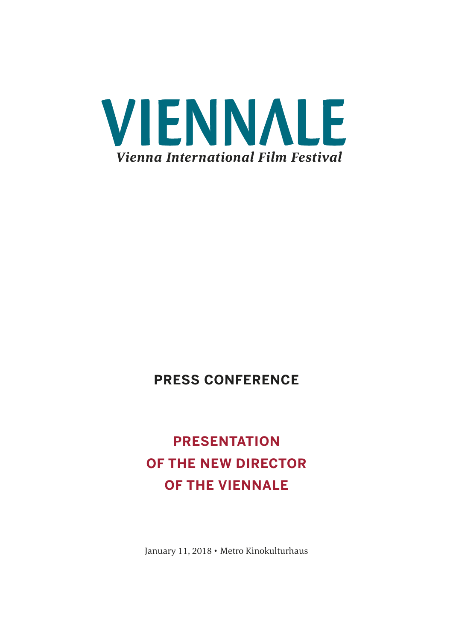

## **PRESS CONFERENCE**

# **PRESENTATION OF THE NEW DIRECTOR OF THE VIENNALE**

January 11, <sup>2018</sup> • Metro Kinokulturhaus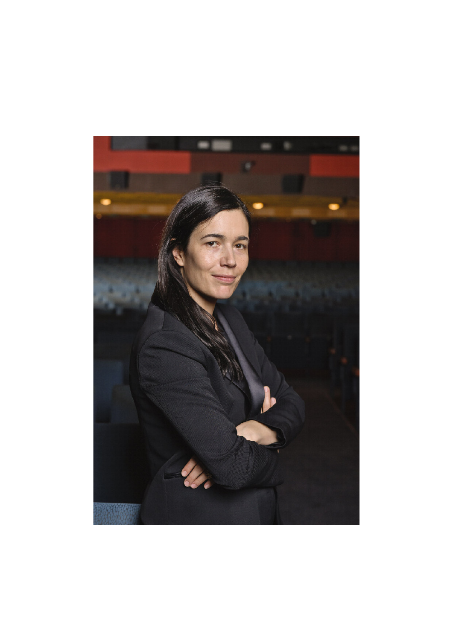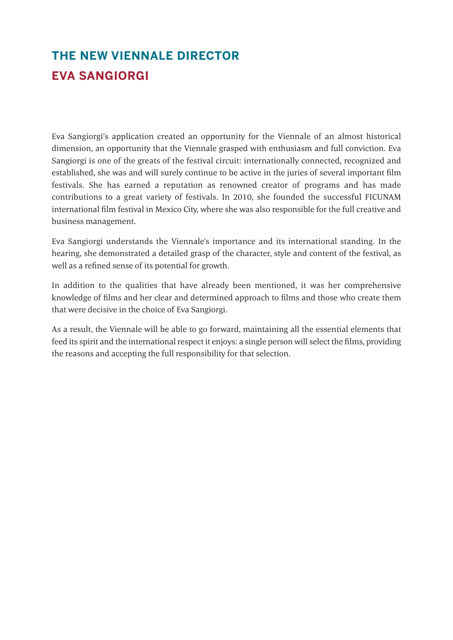## **THE NEW VIENNALE DIRECTOR EVA SANGIORGI**

Eva Sangiorgi's application created an opportunity for the Viennale of an almost historical dimension, an opportunity that the Viennale grasped with enthusiasm and full conviction. Eva Sangiorgi is one of the greats of the festival circuit: internationally connected, recognized and established, she was and will surely continue to be active in the juries of several important film festivals. She has earned a reputation as renowned creator of programs and has made contributions to a great variety of festivals. In 2010, she founded the successful FICUNAM international film festival in Mexico City, where she was also responsible for the full creative and business management.

Eva Sangiorgi understands the Viennale's importance and its international standing. In the hearing, she demonstrated a detailed grasp of the character, style and content of the festival, as well as a refined sense of its potential for growth.

In addition to the qualities that have already been mentioned, it was her comprehensive knowledge of films and her clear and determined approach to films and those who create them that were decisive in the choice of Eva Sangiorgi.

As a result, the Viennale will be able to go forward, maintaining all the essential elements that feed its spirit and the international respect it enjoys: a single person will select the films, providing the reasons and accepting the full responsibility for that selection.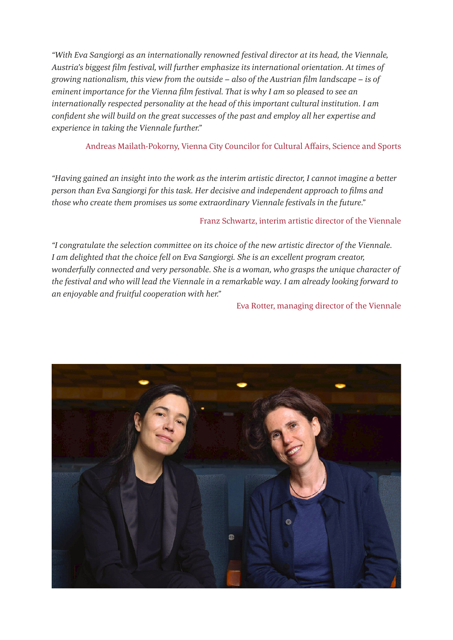*"With Eva Sangiorgi as an internationally renowned festival director at its head, the Viennale, Austria's biggest film festival, will further emphasize its international orientation. At times of growing nationalism, this view from the outside – also of the Austrian film landscape – is of eminent importance for the Vienna film festival. That is why I am so pleased to see an internationally respected personality at the head of this important cultural institution. I am confident she will build on the great successes of the past and employ all her expertise and experience in taking the Viennale further."*

Andreas Mailath-Pokorny, Vienna City Councilor for Cultural Affairs, Science and Sports

*"Having gained an insight into the work as the interim artistic director, I cannot imagine a better person than Eva Sangiorgi for this task. Her decisive and independent approach to films and those who create them promises us some extraordinary Viennale festivals in the future."*

Franz Schwartz, interim artistic director of the Viennale

*"I congratulate the selection committee on its choice of the new artistic director of the Viennale. I am delighted that the choice fell on Eva Sangiorgi. She is an excellent program creator, wonderfully connected and very personable. She is a woman, who grasps the unique character of the festival and who will lead the Viennale in a remarkable way. I am already looking forward to an enjoyable and fruitful cooperation with her."*

Eva Rotter, managing director of the Viennale

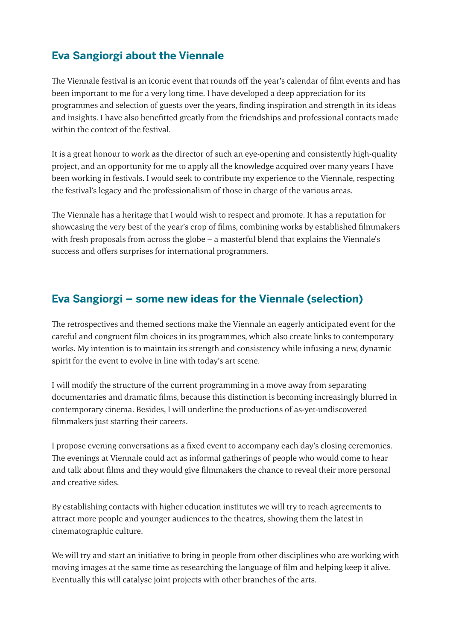#### **Eva Sangiorgi about the Viennale**

The Viennale festival is an iconic event that rounds off the year's calendar of film events and has been important to me for a very long time. I have developed a deep appreciation for its programmes and selection of guests over the years, finding inspiration and strength in its ideas and insights. I have also benefitted greatly from the friendships and professional contacts made within the context of the festival.

It is a great honour to work as the director of such an eye-opening and consistently high-quality project, and an opportunity for me to apply all the knowledge acquired over many years I have been working in festivals. I would seek to contribute my experience to the Viennale, respecting the festival's legacy and the professionalism of those in charge of the various areas.

The Viennale has a heritage that I would wish to respect and promote. It has a reputation for showcasing the very best of the year's crop of films, combining works by established filmmakers with fresh proposals from across the globe – a masterful blend that explains the Viennale's success and offers surprises for international programmers.

#### **Eva Sangiorgi – some new ideas for the Viennale (selection)**

The retrospectives and themed sections make the Viennale an eagerly anticipated event for the careful and congruent film choices in its programmes, which also create links to contemporary works. My intention is to maintain its strength and consistency while infusing a new, dynamic spirit for the event to evolve in line with today's art scene.

I will modify the structure of the current programming in a move away from separating documentaries and dramatic films, because this distinction is becoming increasingly blurred in contemporary cinema. Besides, I will underline the productions of as-yet-undiscovered filmmakers just starting their careers.

I propose evening conversations as a fixed event to accompany each day's closing ceremonies. The evenings at Viennale could act as informal gatherings of people who would come to hear and talk about films and they would give filmmakers the chance to reveal their more personal and creative sides.

By establishing contacts with higher education institutes we will try to reach agreements to attract more people and younger audiences to the theatres, showing them the latest in cinematographic culture.

We will try and start an initiative to bring in people from other disciplines who are working with moving images at the same time as researching the language of film and helping keep it alive. Eventually this will catalyse joint projects with other branches of the arts.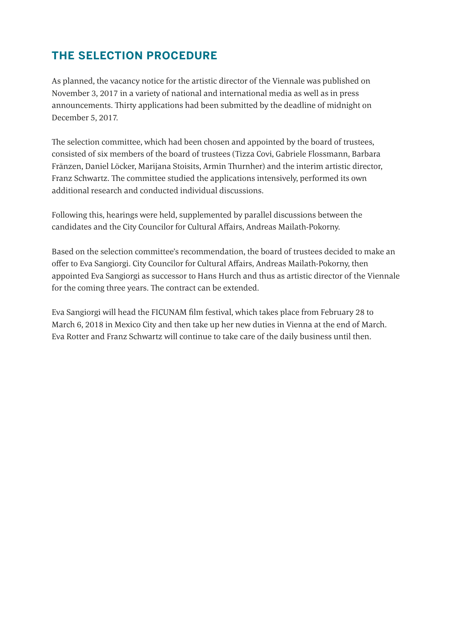## **THE SELECTION PROCEDURE**

As planned, the vacancy notice for the artistic director of the Viennale was published on November 3, 2017 in a variety of national and international media as well as in press announcements. Thirty applications had been submitted by the deadline of midnight on December 5, 2017.

The selection committee, which had been chosen and appointed by the board of trustees, consisted of six members of the board of trustees (Tizza Covi, Gabriele Flossmann, Barbara Fränzen, Daniel Löcker, Marijana Stoisits, Armin Thurnher) and the interim artistic director, Franz Schwartz. The committee studied the applications intensively, performed its own additional research and conducted individual discussions.

Following this, hearings were held, supplemented by parallel discussions between the candidates and the City Councilor for Cultural Affairs, Andreas Mailath-Pokorny.

Based on the selection committee's recommendation, the board of trustees decided to make an offer to Eva Sangiorgi. City Councilor for Cultural Affairs, Andreas Mailath-Pokorny, then appointed Eva Sangiorgi as successor to Hans Hurch and thus as artistic director of the Viennale for the coming three years. The contract can be extended.

Eva Sangiorgi will head the FICUNAM film festival, which takes place from February 28 to March 6, 2018 in Mexico City and then take up her new duties in Vienna at the end of March. Eva Rotter and Franz Schwartz will continue to take care of the daily business until then.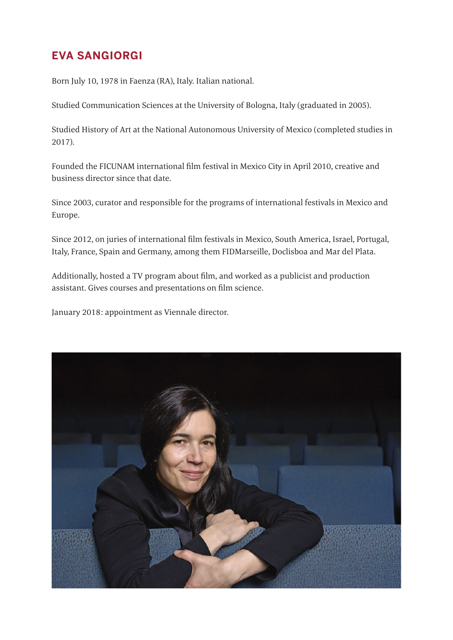## **EVA SANGIORGI**

Born July 10, 1978 in Faenza (RA), Italy. Italian national.

Studied Communication Sciences at the University of Bologna, Italy (graduated in 2005).

Studied History of Art at the National Autonomous University of Mexico (completed studies in 2017).

Founded the FICUNAM international film festival in Mexico City in April 2010, creative and business director since that date.

Since 2003, curator and responsible for the programs of international festivals in Mexico and Europe.

Since 2012, on juries of international film festivals in Mexico, South America, Israel, Portugal, Italy, France, Spain and Germany, among them FIDMarseille, Doclisboa and Mar del Plata.

Additionally, hosted a TV program about film, and worked as a publicist and production assistant. Gives courses and presentations on film science.

January 2018: appointment as Viennale director.